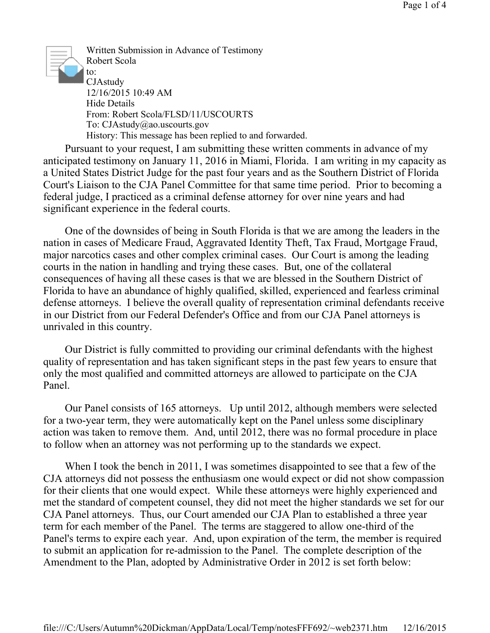

Written Submission in Advance of Testimony Robert Scola to: CJAstudy 12/16/2015 10:49 AM Hide Details From: Robert Scola/FLSD/11/USCOURTS To: CJAstudy@ao.uscourts.gov History: This message has been replied to and forwarded.

 Pursuant to your request, I am submitting these written comments in advance of my anticipated testimony on January 11, 2016 in Miami, Florida. I am writing in my capacity as a United States District Judge for the past four years and as the Southern District of Florida Court's Liaison to the CJA Panel Committee for that same time period. Prior to becoming a federal judge, I practiced as a criminal defense attorney for over nine years and had significant experience in the federal courts.

 One of the downsides of being in South Florida is that we are among the leaders in the nation in cases of Medicare Fraud, Aggravated Identity Theft, Tax Fraud, Mortgage Fraud, major narcotics cases and other complex criminal cases. Our Court is among the leading courts in the nation in handling and trying these cases. But, one of the collateral consequences of having all these cases is that we are blessed in the Southern District of Florida to have an abundance of highly qualified, skilled, experienced and fearless criminal defense attorneys. I believe the overall quality of representation criminal defendants receive in our District from our Federal Defender's Office and from our CJA Panel attorneys is unrivaled in this country.

 Our District is fully committed to providing our criminal defendants with the highest quality of representation and has taken significant steps in the past few years to ensure that only the most qualified and committed attorneys are allowed to participate on the CJA Panel.

 Our Panel consists of 165 attorneys. Up until 2012, although members were selected for a two-year term, they were automatically kept on the Panel unless some disciplinary action was taken to remove them. And, until 2012, there was no formal procedure in place to follow when an attorney was not performing up to the standards we expect.

 When I took the bench in 2011, I was sometimes disappointed to see that a few of the CJA attorneys did not possess the enthusiasm one would expect or did not show compassion for their clients that one would expect. While these attorneys were highly experienced and met the standard of competent counsel, they did not meet the higher standards we set for our CJA Panel attorneys. Thus, our Court amended our CJA Plan to established a three year term for each member of the Panel. The terms are staggered to allow one-third of the Panel's terms to expire each year. And, upon expiration of the term, the member is required to submit an application for re-admission to the Panel. The complete description of the Amendment to the Plan, adopted by Administrative Order in 2012 is set forth below: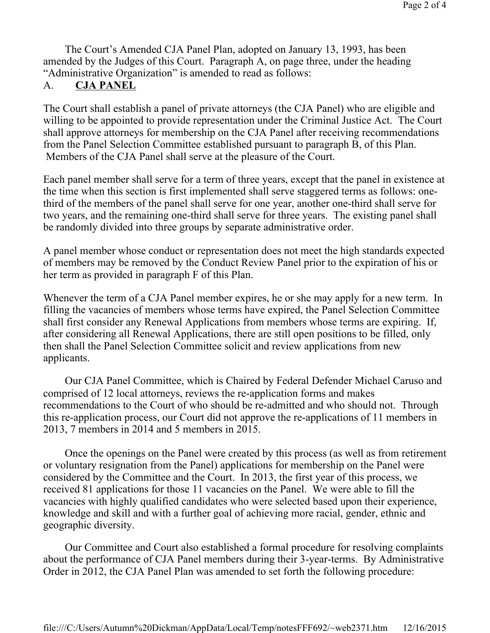The Court's Amended CJA Panel Plan, adopted on January 13, 1993, has been amended by the Judges of this Court. Paragraph A, on page three, under the heading "Administrative Organization" is amended to read as follows:

## A. **CJA PANEL**

The Court shall establish a panel of private attorneys (the CJA Panel) who are eligible and willing to be appointed to provide representation under the Criminal Justice Act. The Court shall approve attorneys for membership on the CJA Panel after receiving recommendations from the Panel Selection Committee established pursuant to paragraph B, of this Plan. Members of the CJA Panel shall serve at the pleasure of the Court.

Each panel member shall serve for a term of three years, except that the panel in existence at the time when this section is first implemented shall serve staggered terms as follows: onethird of the members of the panel shall serve for one year, another one-third shall serve for two years, and the remaining one-third shall serve for three years. The existing panel shall be randomly divided into three groups by separate administrative order.

A panel member whose conduct or representation does not meet the high standards expected of members may be removed by the Conduct Review Panel prior to the expiration of his or her term as provided in paragraph F of this Plan.

Whenever the term of a CJA Panel member expires, he or she may apply for a new term. In filling the vacancies of members whose terms have expired, the Panel Selection Committee shall first consider any Renewal Applications from members whose terms are expiring. If, after considering all Renewal Applications, there are still open positions to be filled, only then shall the Panel Selection Committee solicit and review applications from new applicants.

 Our CJA Panel Committee, which is Chaired by Federal Defender Michael Caruso and comprised of 12 local attorneys, reviews the re-application forms and makes recommendations to the Court of who should be re-admitted and who should not. Through this re-application process, our Court did not approve the re-applications of 11 members in 2013, 7 members in 2014 and 5 members in 2015.

 Once the openings on the Panel were created by this process (as well as from retirement or voluntary resignation from the Panel) applications for membership on the Panel were considered by the Committee and the Court. In 2013, the first year of this process, we received 81 applications for those 11 vacancies on the Panel. We were able to fill the vacancies with highly qualified candidates who were selected based upon their experience, knowledge and skill and with a further goal of achieving more racial, gender, ethnic and geographic diversity.

 Our Committee and Court also established a formal procedure for resolving complaints about the performance of CJA Panel members during their 3-year-terms. By Administrative Order in 2012, the CJA Panel Plan was amended to set forth the following procedure: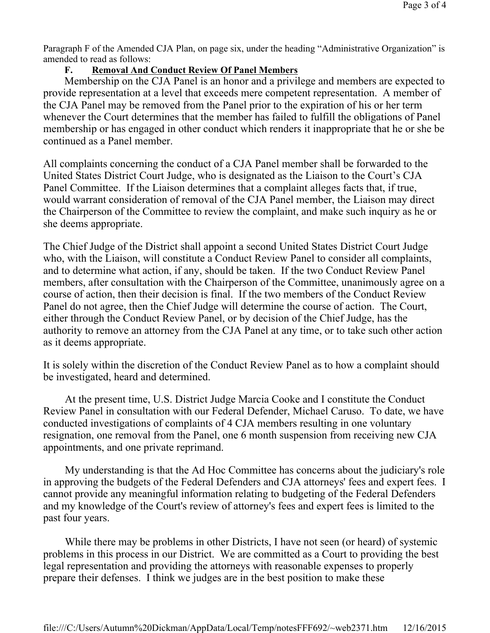Paragraph F of the Amended CJA Plan, on page six, under the heading "Administrative Organization" is amended to read as follows:

## **F. Removal And Conduct Review Of Panel Members**

Membership on the CJA Panel is an honor and a privilege and members are expected to provide representation at a level that exceeds mere competent representation. A member of the CJA Panel may be removed from the Panel prior to the expiration of his or her term whenever the Court determines that the member has failed to fulfill the obligations of Panel membership or has engaged in other conduct which renders it inappropriate that he or she be continued as a Panel member.

All complaints concerning the conduct of a CJA Panel member shall be forwarded to the United States District Court Judge, who is designated as the Liaison to the Court's CJA Panel Committee. If the Liaison determines that a complaint alleges facts that, if true, would warrant consideration of removal of the CJA Panel member, the Liaison may direct the Chairperson of the Committee to review the complaint, and make such inquiry as he or she deems appropriate.

The Chief Judge of the District shall appoint a second United States District Court Judge who, with the Liaison, will constitute a Conduct Review Panel to consider all complaints, and to determine what action, if any, should be taken. If the two Conduct Review Panel members, after consultation with the Chairperson of the Committee, unanimously agree on a course of action, then their decision is final. If the two members of the Conduct Review Panel do not agree, then the Chief Judge will determine the course of action. The Court, either through the Conduct Review Panel, or by decision of the Chief Judge, has the authority to remove an attorney from the CJA Panel at any time, or to take such other action as it deems appropriate.

It is solely within the discretion of the Conduct Review Panel as to how a complaint should be investigated, heard and determined.

 At the present time, U.S. District Judge Marcia Cooke and I constitute the Conduct Review Panel in consultation with our Federal Defender, Michael Caruso. To date, we have conducted investigations of complaints of 4 CJA members resulting in one voluntary resignation, one removal from the Panel, one 6 month suspension from receiving new CJA appointments, and one private reprimand.

 My understanding is that the Ad Hoc Committee has concerns about the judiciary's role in approving the budgets of the Federal Defenders and CJA attorneys' fees and expert fees. I cannot provide any meaningful information relating to budgeting of the Federal Defenders and my knowledge of the Court's review of attorney's fees and expert fees is limited to the past four years.

 While there may be problems in other Districts, I have not seen (or heard) of systemic problems in this process in our District. We are committed as a Court to providing the best legal representation and providing the attorneys with reasonable expenses to properly prepare their defenses. I think we judges are in the best position to make these